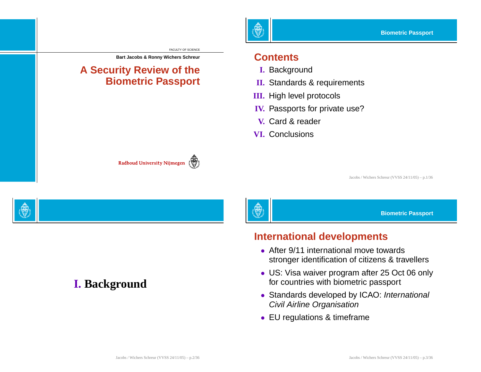FACULTY OF SCIENCE

্∰

#### **Bart Jacobs & Ronny Wichers Schreur**

#### **A Security Review of the Biometric Passport**

Radboud University Nijmegen

दैँङ्ग

#### **Contents**

- **I.** Background
- **II.** Standards & requirements
- **III.** High level protocols
- **IV.** Passports for private use?
- **V.** Card & reader
- **VI.** Conclusions

Jacobs / Wichers Schreur (VVSS 24/11/05) – p.1/36

**Biometric Passport**

#### **International developments**

- After 9/11 international move towards stronger identification of citizens & travellers
- US: Visa waiver program after 25 Oct 06 only for countries with biometric passport
- Standards developed by ICAO: International Civil Airline Organisation
- EU regulations & timeframe

#### **I. Background**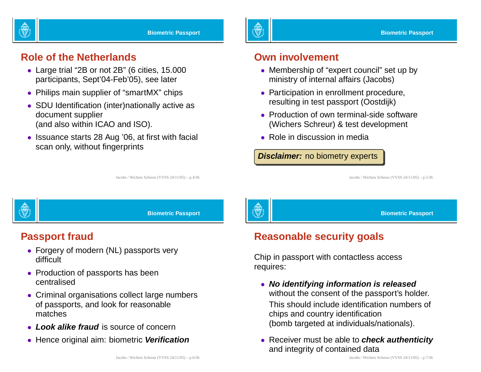

#### **Role of the Netherlands**

- Large trial "2B or not 2B" (6 cities, 15.000 participants, Sept'04-Feb'05), see later
- Philips main supplier of "smartMX" chips
- SDU Identification (inter)nationally active as document supplier (and also within ICAO and ISO).
- Issuance starts 28 Aug '06, at first with facial scan only, without fingerprints

灥

#### **Own involvement**

- Membership of "expert council" set up by ministry of internal affairs (Jacobs)
- Participation in enrollment procedure, resulting in test passport (Oostdijk)
- Production of own terminal-side software (Wichers Schreur) & test development
- Role in discussion in media

**Disclaimer:** no biometry experts

Jacobs / Wichers Schreur (VVSS 24/11/05) – p.5/36

**Biometric Passport**



**Biometric Passport**

Jacobs / Wichers Schreur (VVSS 24/11/05) – p.4/36

#### **Passport fraud**

- Forgery of modern (NL) passports very difficult
- Production of passports has been centralised
- Criminal organisations collect large numbers of passports, and look for reasonable matches
- **Look alike fraud** is source of concern
- Hence original aim: biometric **Verification**



## **Reasonable security goals**

Chip in passport with contactless access requires:

- **No identifying information is released** without the consent of the passport's holder. This should include identification numbers of chips and country identification (bomb targeted at individuals/nationals).
- Receiver must be able to **check authenticity** and integrity of contained data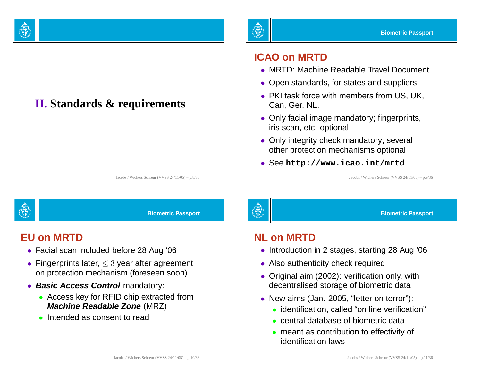

# **II. Standards & requirements**

#### **ICAO on MRTD**

- MRTD: Machine Readable Travel Document
- Open standards, for states and suppliers
- PKI task force with members from US, UK, Can, Ger, NL.
- Only facial image mandatory; fingerprints, iris scan, etc. optional
- Only integrity check mandatory; several other protection mechanisms optional
- See **http://www.icao.int/mrtd**

Jacobs / Wichers Schreur (VVSS 24/11/05) – p.9/36

| <b>OHING</b> |  |
|--------------|--|

Jacobs / Wichers Schreur (VVSS 24/11/05) – p.8/36

**Biometric Passport**

#### **EU on MRTD**

- Facial scan included before 28 Aug '06
- Fingerprints later,  $\leq 3$  year after agreement on protection mechanism (foreseen soon)
- **Basic Access Control** mandatory:
	- Access key for RFID chip extracted from **Machine Readable Zone** (MRZ)
	- Intended as consent to read

# 欎

**Biometric Passport**

#### **NL on MRTD**

- Introduction in 2 stages, starting 28 Aug '06
- Also authenticity check required
- Original aim (2002): verification only, with decentralised storage of biometric data
- New aims (Jan. 2005, "letter on terror"):
	- identification, called "on line verification"
	- central database of biometric data
	- meant as contribution to effectivity of identification laws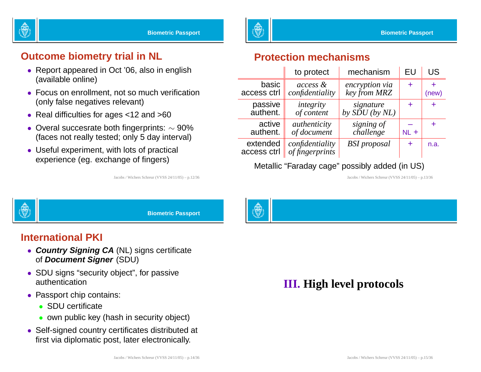

#### **Outcome biometry trial in NL**

- Report appeared in Oct '06, also in english (available online)
- Focus on enrollment, not so much verification (only false negatives relevant)
- Real difficulties for ages <12 and >60
- Overal succesrate both fingerprints:  $\sim$  90% (faces not really tested; only 5 day interval)
- Useful experiment, with lots of practical experience (eg. exchange of fingers)

Jacobs / Wichers Schreur (VVSS 24/11/05) – p.12/36

#### **Protection mechanisms**

|                         | to protect                         | mechanism                                 | EU     | US    |
|-------------------------|------------------------------------|-------------------------------------------|--------|-------|
| basic<br>access ctrl    | access &<br>confidentiality        | encryption via<br>key from MRZ            | ÷      | (new) |
| passive<br>authent.     | integrity<br>of content            | signature<br>by $\widetilde{SDU}$ (by NL) | ÷      | ٠     |
| active<br>authent.      | authenticity<br>of document        | signing of<br>challenge                   | $NL +$ | +     |
| extended<br>access ctrl | confidentiality<br>of fingerprints | <b>BSI</b> proposal                       | ÷      | n.a.  |

#### Metallic "Faraday cage" possibly added (in US)

Jacobs / Wichers Schreur (VVSS 24/11/05) – p.13/36



**Biometric Passport**

#### **International PKI**

- **Country Signing CA** (NL) signs certificate of **Document Signer** (SDU)
- SDU signs "security object", for passive authentication
- Passport chip contains:
	- SDU certificate
	- own public key (hash in security object)
- Self-signed country certificates distributed at first via diplomatic post, later electronically.

# **III. High level protocols**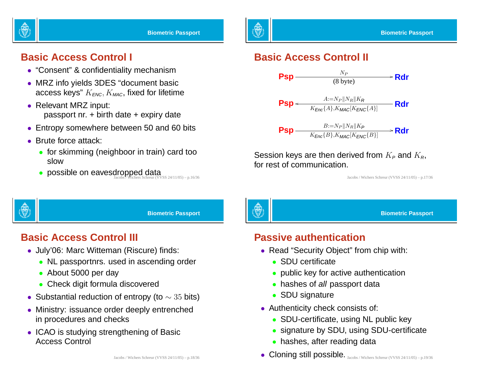

#### **Basic Access Control I**

- "Consent" & confidentiality mechanism
- MRZ info yields 3DES "document basic access keys"  $K_{FNC}$ ,  $K_{MAC}$ , fixed for lifetime
- Relevant MRZ input: passport nr. <sup>+</sup> birth date <sup>+</sup> expiry date
- Entropy somewhere between 50 and 60 bits
- Brute force attack:
	- for skimming (neighboor in train) card too slow
	- possible on eavesdropped data  $\overline{\mathsf{L}}$  possible on eavesdropped struct (VVSS 24/11/05) p.16/36

#### **Basic Access Control II**



Session keys are then derived from  $K_P$  and  $K_R$ , for rest of communication.

Jacobs / Wichers Schreur (VVSS 24/11/05) – p.17/36



**Biometric Passport**

## **Basic Access Control III**

- July'06: Marc Witteman (Riscure) finds:
	- NL passportnrs. used in ascending order
	- About 5000 per day
	- Check digit formula discovered
- $\bullet\,$  Substantial reduction of entropy (to  $\sim 35$  bits)
- Ministry: issuance order deeply entrenched in procedures and checks
- ICAO is studying strengthening of Basic Access Control



#### **Biometric Passport**

#### **Passive authentication**

- Read "Security Object" from chip with:
	- SDU certificate
	- public key for active authentication
	- hashes of all passport data
	- SDU signature
- Authenticity check consists of:
	- SDU-certificate, using NL public key
	- signature by SDU, using SDU-certificate
	- hashes, after reading data
- Cloning still possible. Jacobs / Wichers Schreur (VVSS 24/11/05) p.19/36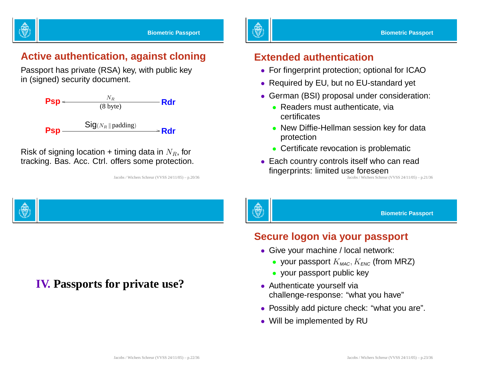

#### **Active authentication, against cloning**

Passport has private (RSA) key, with public key in (signed) security document.



Risk of signing location + timing data in  $N_R$ , for tracking. Bas. Acc. Ctrl. offers some protection.

**IV. Passports for private use?**

Jacobs / Wichers Schreur (VVSS 24/11/05) – p.20/36

灥

#### **Extended authentication**

- For fingerprint protection; optional for ICAO
- Required by EU, but no EU-standard yet
- German (BSI) proposal under consideration:
	- Readers must authenticate, via certificates
	- New Diffie-Hellman session key for data protection
	- Certificate revocation is problematic
- Each country controls itself who can read fingerprints: limited use foreseen

Jacobs / Wichers Schreur (VVSS 24/11/05) – p.21/36

**Biometric Passport**

#### **Secure logon via your passport**

- Give your machine / local network:
	- your passport  $K_{\text{MAC}}, K_{\text{ENC}}$  (from MRZ)
	- your passport public key
- Authenticate yourself via challenge-response: "what you have"
- Possibly add picture check: "what you are".
- Will be implemented by RU

Jacobs / Wichers Schreur (VVSS 24/11/05) – p.22/36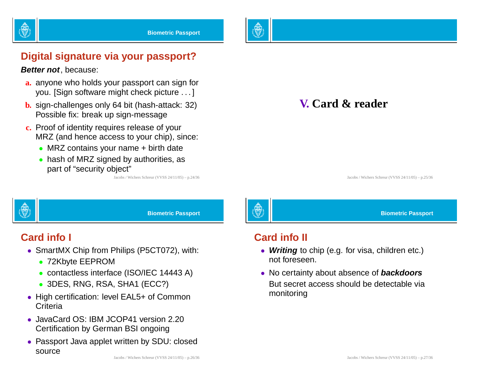



#### **Digital signature via your passport?**

**Better not**, because:

- **a.** anyone who holds your passport can sign for you. [Sign software might check picture . . . ]
- **b.** sign-challenges only 64 bit (hash-attack: 32) Possible fix: break up sign-message
- **c.** Proof of identity requires release of your MRZ (and hence access to your chip), since:
	- MRZ contains your name + birth date
	- hash of MRZ signed by authorities, as part of "security object"

Jacobs / Wichers Schreur (VVSS 24/11/05) – p.24/36

## **V. Card & reader**

Jacobs / Wichers Schreur (VVSS 24/11/05) – p.25/36

**Biometric Passport**



**Biometric Passport**

#### **Card info I**

- SmartMX Chip from Philips (P5CT072), with:
	- 72Kbyte EEPROM
	- contactless interface (ISO/IEC 14443 A)
	- 3DES, RNG, RSA, SHA1 (ECC?)
- High certification: level EAL5+ of Common **Criteria**
- JavaCard OS: IBM JCOP41 version 2.20 Certification by German BSI ongoing
- Passport Java applet written by SDU: closed source



#### **Card info II**

- **Writing** to chip (e.g. for visa, children etc.) not foreseen.
- No certainty about absence of **backdoors** But secret access should be detectable via monitoring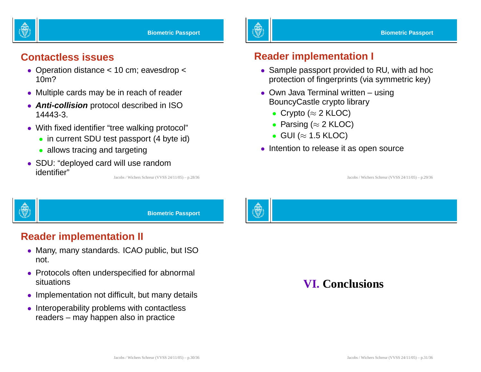

#### **Contactless issues**

- Operation distance <sup>&</sup>lt; 10 cm; eavesdrop <sup>&</sup>lt; 10m?
- Multiple cards may be in reach of reader
- **Anti-collision** protocol described in ISO 14443-3.
- With fixed identifier "tree walking protocol"
	- in current SDU test passport (4 byte id)
	- allows tracing and targeting
- SDU: "deployed card will use random identifier" Jacobs / Wichers Schreur (VVSS 24/11/05) – p.28/36

#### **Reader implementation I**

- Sample passport provided to RU, with ad hoc protection of fingerprints (via symmetric key)
- Own Java Terminal written using BouncyCastle crypto library
	- Crypto ( $\approx$  2 KLOC)
	- Parsing ( $\approx$  2 KLOC)
	- $\bullet\,$  GUI ( $\approx$  1.5 KLOC)
- Intention to release it as open source

Jacobs / Wichers Schreur (VVSS 24/11/05) – p.29/36



**Biometric Passport**

#### **Reader implementation II**

- Many, many standards. ICAO public, but ISO not.
- Protocols often underspecified for abnormal situations
- Implementation not difficult, but many details
- Interoperability problems with contactless readers – may happen also in practice

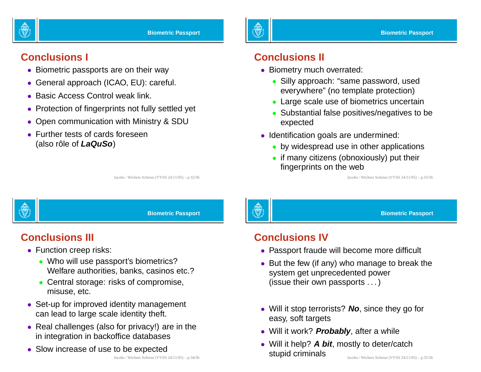

#### **Conclusions I**

- Biometric passports are on their way
- General approach (ICAO, EU): careful.
- Basic Access Control weak link.
- Protection of fingerprints not fully settled yet
- Open communication with Ministry & SDU
- Further tests of cards foreseen (also rôle of **LaQuSo**)

#### **Conclusions II**

- Biometry much overrated:
	- Silly approach: "same password, used everywhere" (no template protection)
	- Large scale use of biometrics uncertain
	- Substantial false positives/negatives to be expected
- Identification goals are undermined:
	- by widespread use in other applications
	- if many citizens (obnoxiously) put their fingerprints on the web

Jacobs / Wichers Schreur (VVSS 24/11/05) – p.33/36



**Biometric Passport**

Jacobs / Wichers Schreur (VVSS 24/11/05) – p.32/36

## **Conclusions III**

- Function creep risks:
	- Who will use passport's biometrics? Welfare authorities, banks, casinos etc.?
	- Central storage: risks of compromise, misuse, etc.
- Set-up for improved identity management can lead to large scale identity theft.
- Real challenges (also for privacy!) are in the in integration in backoffice databases
- Slow increase of use to be expected

# 驇

#### **Biometric Passport**

#### **Conclusions IV**

- Passport fraude will become more difficult
- But the few (if any) who manage to break the system get unprecedented power (issue their own passports . . .)
- Will it stop terrorists? **No**, since they go for easy, soft targets
- Will it work? **Probably**, after <sup>a</sup> while
- Will it help? **A bit**, mostly to deter/catch stupid criminals Jacobs / Wichers Schreur (VVSS 24/11/05) – p.35/36